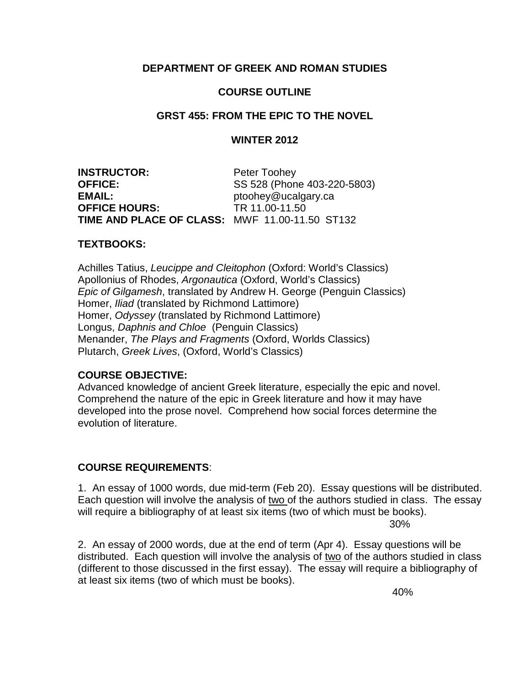## **DEPARTMENT OF GREEK AND ROMAN STUDIES**

# **COURSE OUTLINE**

## **GRST 455: FROM THE EPIC TO THE NOVEL**

## **WINTER 2012**

**INSTRUCTOR:** Peter Toohey **OFFICE:** SS 528 (Phone 403-220-5803) EMAIL:<br> **OFFICE HOURS:**TR 11.00-11.50 **OFFICE HOURS: TIME AND PLACE OF CLASS:** MWF 11.00-11.50 ST132

### **TEXTBOOKS:**

Achilles Tatius, *Leucippe and Cleitophon* (Oxford: World's Classics) Apollonius of Rhodes, *Argonautica* (Oxford, World's Classics) *Epic of Gilgamesh*, translated by Andrew H. George (Penguin Classics) Homer, *Iliad* (translated by Richmond Lattimore) Homer, *Odyssey* (translated by Richmond Lattimore) Longus, *Daphnis and Chloe* (Penguin Classics) Menander, *The Plays and Fragments* (Oxford, Worlds Classics) Plutarch, *Greek Lives*, (Oxford, World's Classics)

## **COURSE OBJECTIVE:**

Advanced knowledge of ancient Greek literature, especially the epic and novel. Comprehend the nature of the epic in Greek literature and how it may have developed into the prose novel. Comprehend how social forces determine the evolution of literature.

## **COURSE REQUIREMENTS**:

1. An essay of 1000 words, due mid-term (Feb 20). Essay questions will be distributed. Each question will involve the analysis of two of the authors studied in class. The essay will require a bibliography of at least six items (two of which must be books). 30%

2. An essay of 2000 words, due at the end of term (Apr 4). Essay questions will be distributed. Each question will involve the analysis of two of the authors studied in class (different to those discussed in the first essay). The essay will require a bibliography of at least six items (two of which must be books).

40%